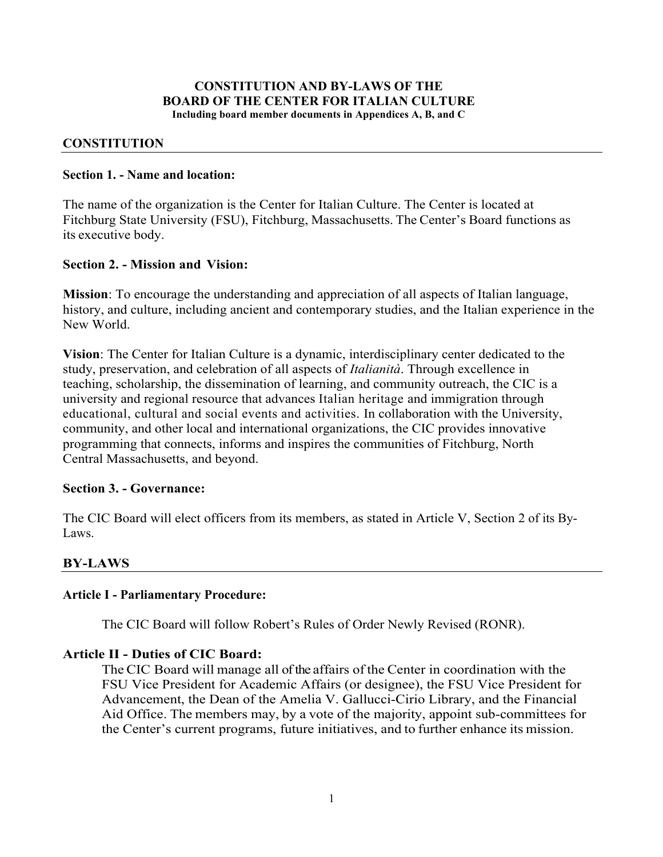#### **CONSTITUTION AND BY-LAWS OF THE BOARD OF THE CENTER FOR ITALIAN CULTURE Including board member documents in Appendices A, B, and C**

#### **CONSTITUTION**

#### **Section 1. - Name and location:**

The name of the organization is the Center for Italian Culture. The Center is located at Fitchburg State University (FSU), Fitchburg, Massachusetts. The Center's Board functions as its executive body.

#### **Section 2. - Mission and Vision:**

**Mission**: To encourage the understanding and appreciation of all aspects of Italian language, history, and culture, including ancient and contemporary studies, and the Italian experience in the New World.

**Vision**: The Center for Italian Culture is a dynamic, interdisciplinary center dedicated to the study, preservation, and celebration of all aspects of *Italianità*. Through excellence in teaching, scholarship, the dissemination of learning, and community outreach, the CIC is a university and regional resource that advances Italian heritage and immigration through educational, cultural and social events and activities. In collaboration with the University, community, and other local and international organizations, the CIC provides innovative programming that connects, informs and inspires the communities of Fitchburg, North Central Massachusetts, and beyond.

#### **Section 3. - Governance:**

The CIC Board will elect officers from its members, as stated in Article V, Section 2 of its By-Laws.

#### **BY-LAWS**

#### **Article I - Parliamentary Procedure:**

The CIC Board will follow Robert's Rules of Order Newly Revised (RONR).

#### **Article II - Duties of CIC Board:**

The CIC Board will manage all of the affairs of the Center in coordination with the FSU Vice President for Academic Affairs (or designee), the FSU Vice President for Advancement, the Dean of the Amelia V. Gallucci-Cirio Library, and the Financial Aid Office. The members may, by a vote of the majority, appoint sub-committees for the Center's current programs, future initiatives, and to further enhance its mission.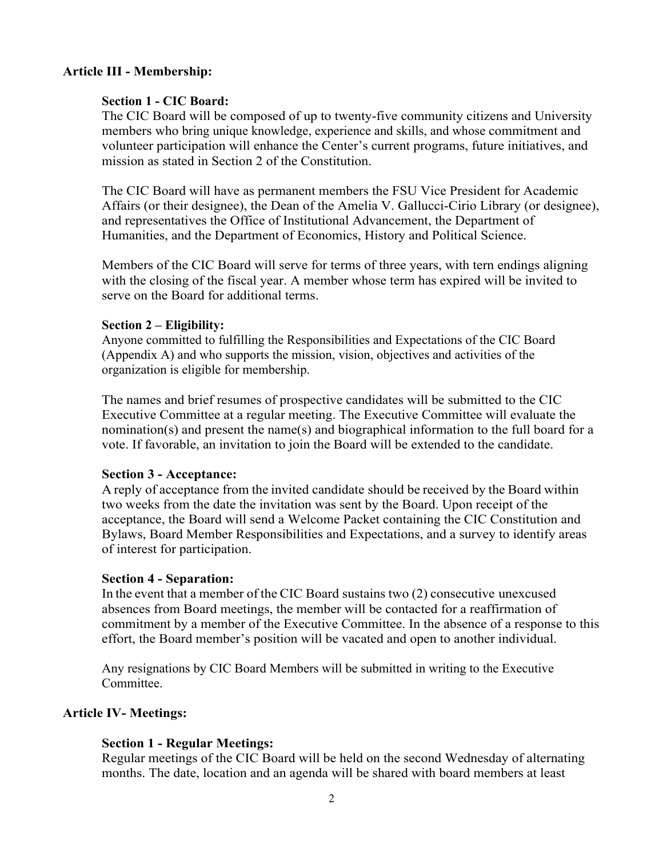## **Article III - Membership:**

#### **Section 1 - CIC Board:**

The CIC Board will be composed of up to twenty-five community citizens and University members who bring unique knowledge, experience and skills, and whose commitment and volunteer participation will enhance the Center's current programs, future initiatives, and mission as stated in Section 2 of the Constitution.

The CIC Board will have as permanent members the FSU Vice President for Academic Affairs (or their designee), the Dean of the Amelia V. Gallucci-Cirio Library (or designee), and representatives the Office of Institutional Advancement, the Department of Humanities, and the Department of Economics, History and Political Science.

Members of the CIC Board will serve for terms of three years, with tern endings aligning with the closing of the fiscal year. A member whose term has expired will be invited to serve on the Board for additional terms.

#### **Section 2 – Eligibility:**

Anyone committed to fulfilling the Responsibilities and Expectations of the CIC Board (Appendix A) and who supports the mission, vision, objectives and activities of the organization is eligible for membership.

The names and brief resumes of prospective candidates will be submitted to the CIC Executive Committee at a regular meeting. The Executive Committee will evaluate the nomination(s) and present the name(s) and biographical information to the full board for a vote. If favorable, an invitation to join the Board will be extended to the candidate.

#### **Section 3 - Acceptance:**

A reply of acceptance from the invited candidate should be received by the Board within two weeks from the date the invitation was sent by the Board. Upon receipt of the acceptance, the Board will send a Welcome Packet containing the CIC Constitution and Bylaws, Board Member Responsibilities and Expectations, and a survey to identify areas of interest for participation.

#### **Section 4 - Separation:**

In the event that a member of the CIC Board sustains two (2) consecutive unexcused absences from Board meetings, the member will be contacted for a reaffirmation of commitment by a member of the Executive Committee. In the absence of a response to this effort, the Board member's position will be vacated and open to another individual.

Any resignations by CIC Board Members will be submitted in writing to the Executive **Committee** 

#### **Article IV- Meetings:**

#### **Section 1 - Regular Meetings:**

Regular meetings of the CIC Board will be held on the second Wednesday of alternating months. The date, location and an agenda will be shared with board members at least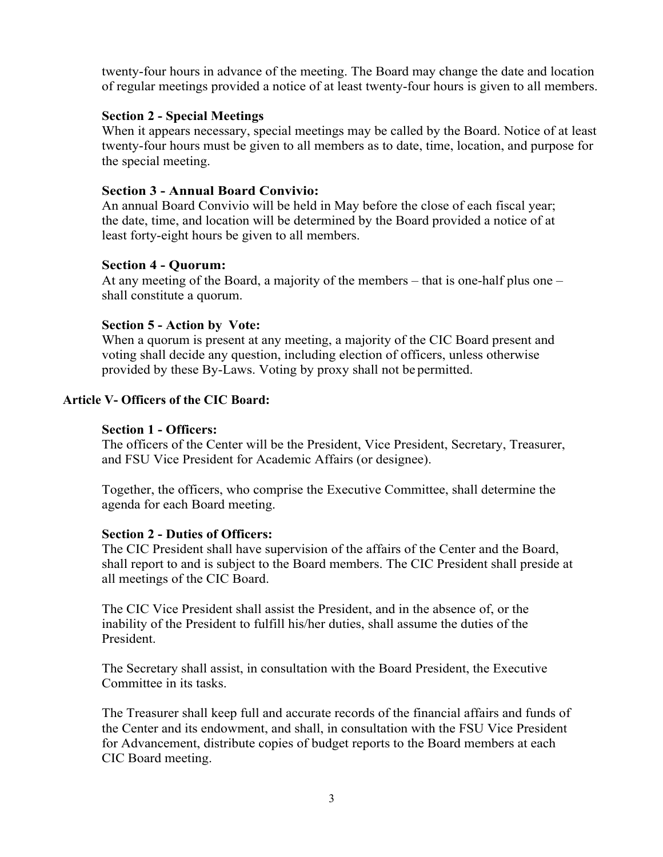twenty-four hours in advance of the meeting. The Board may change the date and location of regular meetings provided a notice of at least twenty-four hours is given to all members.

## **Section 2 - Special Meetings**

When it appears necessary, special meetings may be called by the Board. Notice of at least twenty-four hours must be given to all members as to date, time, location, and purpose for the special meeting.

# **Section 3 - Annual Board Convivio:**

An annual Board Convivio will be held in May before the close of each fiscal year; the date, time, and location will be determined by the Board provided a notice of at least forty-eight hours be given to all members.

## **Section 4 - Quorum:**

At any meeting of the Board, a majority of the members – that is one-half plus one – shall constitute a quorum.

#### **Section 5 - Action by Vote:**

When a quorum is present at any meeting, a majority of the CIC Board present and voting shall decide any question, including election of officers, unless otherwise provided by these By-Laws. Voting by proxy shall not be permitted.

## **Article V- Officers of the CIC Board:**

#### **Section 1 - Officers:**

The officers of the Center will be the President, Vice President, Secretary, Treasurer, and FSU Vice President for Academic Affairs (or designee).

Together, the officers, who comprise the Executive Committee, shall determine the agenda for each Board meeting.

#### **Section 2 - Duties of Officers:**

The CIC President shall have supervision of the affairs of the Center and the Board, shall report to and is subject to the Board members. The CIC President shall preside at all meetings of the CIC Board.

The CIC Vice President shall assist the President, and in the absence of, or the inability of the President to fulfill his/her duties, shall assume the duties of the President.

The Secretary shall assist, in consultation with the Board President, the Executive Committee in its tasks.

The Treasurer shall keep full and accurate records of the financial affairs and funds of the Center and its endowment, and shall, in consultation with the FSU Vice President for Advancement, distribute copies of budget reports to the Board members at each CIC Board meeting.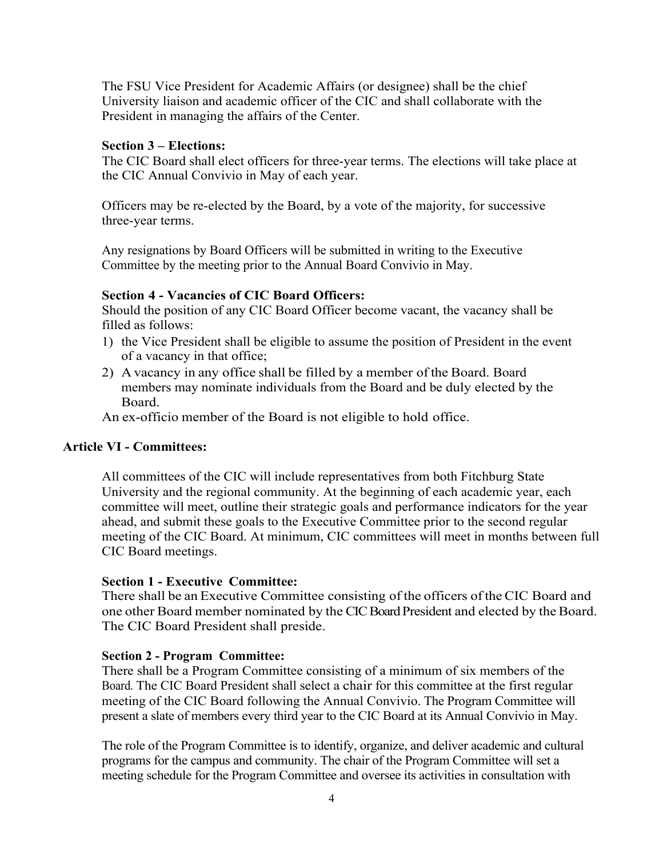The FSU Vice President for Academic Affairs (or designee) shall be the chief University liaison and academic officer of the CIC and shall collaborate with the President in managing the affairs of the Center.

#### **Section 3 – Elections:**

The CIC Board shall elect officers for three-year terms. The elections will take place at the CIC Annual Convivio in May of each year.

Officers may be re-elected by the Board, by a vote of the majority, for successive three-year terms.

Any resignations by Board Officers will be submitted in writing to the Executive Committee by the meeting prior to the Annual Board Convivio in May.

## **Section 4 - Vacancies of CIC Board Officers:**

Should the position of any CIC Board Officer become vacant, the vacancy shall be filled as follows:

- 1) the Vice President shall be eligible to assume the position of President in the event of a vacancy in that office;
- 2) A vacancy in any office shall be filled by a member of the Board. Board members may nominate individuals from the Board and be duly elected by the Board.

An ex-officio member of the Board is not eligible to hold office.

#### **Article VI - Committees:**

All committees of the CIC will include representatives from both Fitchburg State University and the regional community. At the beginning of each academic year, each committee will meet, outline their strategic goals and performance indicators for the year ahead, and submit these goals to the Executive Committee prior to the second regular meeting of the CIC Board. At minimum, CIC committees will meet in months between full CIC Board meetings.

#### **Section 1 - Executive Committee:**

There shall be an Executive Committee consisting of the officers of the CIC Board and one other Board member nominated by the CIC Board President and elected by the Board. The CIC Board President shall preside.

#### **Section 2 - Program Committee:**

There shall be a Program Committee consisting of a minimum of six members of the Board. The CIC Board President shall select a chair for this committee at the first regular meeting of the CIC Board following the Annual Convivio. The Program Committee will present a slate of members every third year to the CIC Board at its Annual Convivio in May.

The role of the Program Committee is to identify, organize, and deliver academic and cultural programs for the campus and community. The chair of the Program Committee will set a meeting schedule for the Program Committee and oversee its activities in consultation with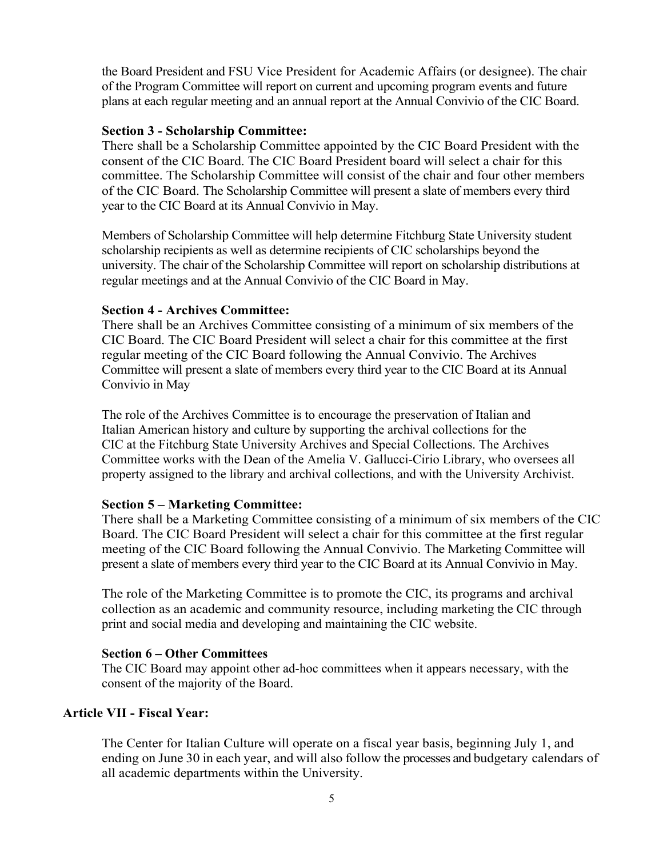the Board President and FSU Vice President for Academic Affairs (or designee). The chair of the Program Committee will report on current and upcoming program events and future plans at each regular meeting and an annual report at the Annual Convivio of the CIC Board.

## **Section 3 - Scholarship Committee:**

There shall be a Scholarship Committee appointed by the CIC Board President with the consent of the CIC Board. The CIC Board President board will select a chair for this committee. The Scholarship Committee will consist of the chair and four other members of the CIC Board. The Scholarship Committee will present a slate of members every third year to the CIC Board at its Annual Convivio in May.

Members of Scholarship Committee will help determine Fitchburg State University student scholarship recipients as well as determine recipients of CIC scholarships beyond the university. The chair of the Scholarship Committee will report on scholarship distributions at regular meetings and at the Annual Convivio of the CIC Board in May.

#### **Section 4 - Archives Committee:**

There shall be an Archives Committee consisting of a minimum of six members of the CIC Board. The CIC Board President will select a chair for this committee at the first regular meeting of the CIC Board following the Annual Convivio. The Archives Committee will present a slate of members every third year to the CIC Board at its Annual Convivio in May

The role of the Archives Committee is to encourage the preservation of Italian and Italian American history and culture by supporting the archival collections for the CIC at the Fitchburg State University Archives and Special Collections. The Archives Committee works with the Dean of the Amelia V. Gallucci-Cirio Library, who oversees all property assigned to the library and archival collections, and with the University Archivist.

#### **Section 5 – Marketing Committee:**

There shall be a Marketing Committee consisting of a minimum of six members of the CIC Board. The CIC Board President will select a chair for this committee at the first regular meeting of the CIC Board following the Annual Convivio. The Marketing Committee will present a slate of members every third year to the CIC Board at its Annual Convivio in May.

The role of the Marketing Committee is to promote the CIC, its programs and archival collection as an academic and community resource, including marketing the CIC through print and social media and developing and maintaining the CIC website.

#### **Section 6 – Other Committees**

The CIC Board may appoint other ad-hoc committees when it appears necessary, with the consent of the majority of the Board.

#### **Article VII - Fiscal Year:**

The Center for Italian Culture will operate on a fiscal year basis, beginning July 1, and ending on June 30 in each year, and will also follow the processes and budgetary calendars of all academic departments within the University.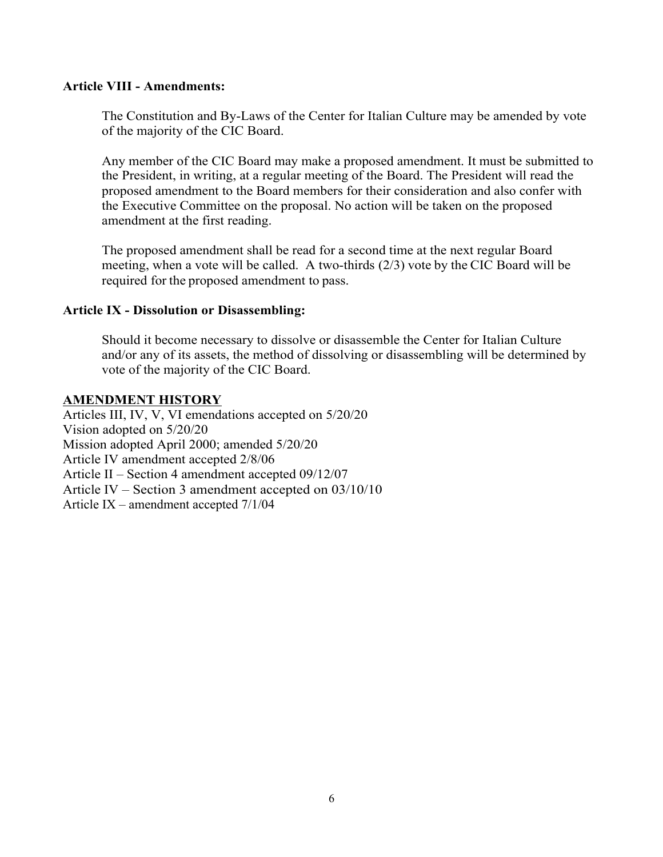#### **Article VIII - Amendments:**

The Constitution and By-Laws of the Center for Italian Culture may be amended by vote of the majority of the CIC Board.

Any member of the CIC Board may make a proposed amendment. It must be submitted to the President, in writing, at a regular meeting of the Board. The President will read the proposed amendment to the Board members for their consideration and also confer with the Executive Committee on the proposal. No action will be taken on the proposed amendment at the first reading.

The proposed amendment shall be read for a second time at the next regular Board meeting, when a vote will be called. A two-thirds (2/3) vote by the CIC Board will be required for the proposed amendment to pass.

#### **Article IX - Dissolution or Disassembling:**

Should it become necessary to dissolve or disassemble the Center for Italian Culture and/or any of its assets, the method of dissolving or disassembling will be determined by vote of the majority of the CIC Board.

#### **AMENDMENT HISTORY**

Articles III, IV, V, VI emendations accepted on 5/20/20 Vision adopted on 5/20/20 Mission adopted April 2000; amended 5/20/20 Article IV amendment accepted 2/8/06 Article II – Section 4 amendment accepted 09/12/07 Article IV – Section 3 amendment accepted on 03/10/10 Article IX – amendment accepted 7/1/04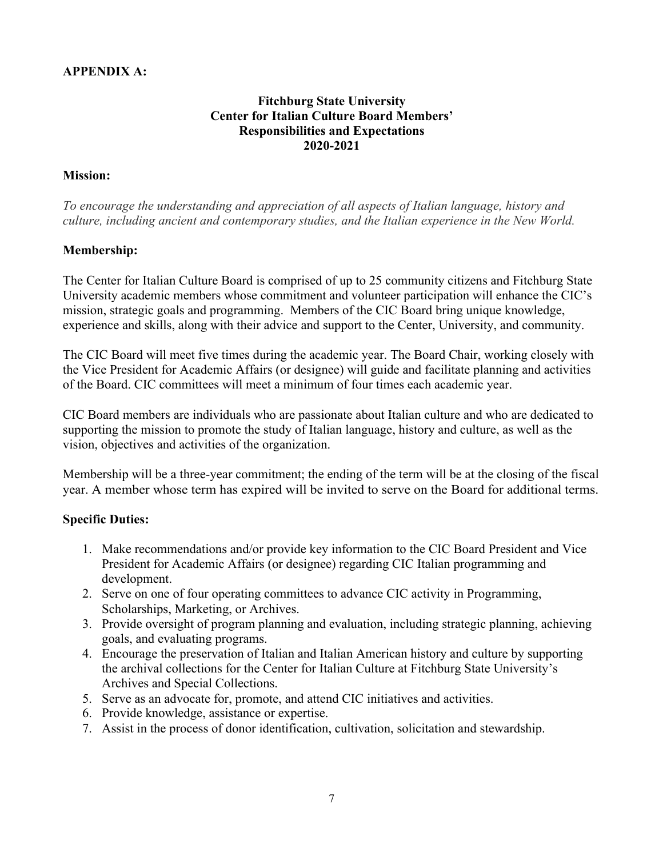# **APPENDIX A:**

## **Fitchburg State University Center for Italian Culture Board Members' Responsibilities and Expectations 2020-2021**

## **Mission:**

*To encourage the understanding and appreciation of all aspects of Italian language, history and culture, including ancient and contemporary studies, and the Italian experience in the New World.*

## **Membership:**

The Center for Italian Culture Board is comprised of up to 25 community citizens and Fitchburg State University academic members whose commitment and volunteer participation will enhance the CIC's mission, strategic goals and programming. Members of the CIC Board bring unique knowledge, experience and skills, along with their advice and support to the Center, University, and community.

The CIC Board will meet five times during the academic year. The Board Chair, working closely with the Vice President for Academic Affairs (or designee) will guide and facilitate planning and activities of the Board. CIC committees will meet a minimum of four times each academic year.

CIC Board members are individuals who are passionate about Italian culture and who are dedicated to supporting the mission to promote the study of Italian language, history and culture, as well as the vision, objectives and activities of the organization.

Membership will be a three-year commitment; the ending of the term will be at the closing of the fiscal year. A member whose term has expired will be invited to serve on the Board for additional terms.

#### **Specific Duties:**

- 1. Make recommendations and/or provide key information to the CIC Board President and Vice President for Academic Affairs (or designee) regarding CIC Italian programming and development.
- 2. Serve on one of four operating committees to advance CIC activity in Programming, Scholarships, Marketing, or Archives.
- 3. Provide oversight of program planning and evaluation, including strategic planning, achieving goals, and evaluating programs.
- 4. Encourage the preservation of Italian and Italian American history and culture by supporting the archival collections for the Center for Italian Culture at Fitchburg State University's Archives and Special Collections.
- 5. Serve as an advocate for, promote, and attend CIC initiatives and activities.
- 6. Provide knowledge, assistance or expertise.
- 7. Assist in the process of donor identification, cultivation, solicitation and stewardship.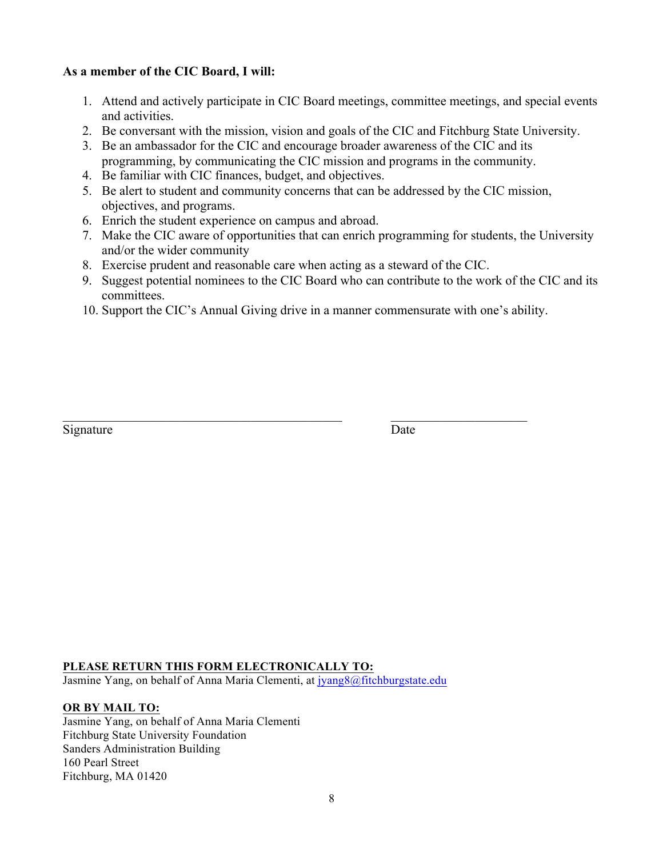## **As a member of the CIC Board, I will:**

- 1. Attend and actively participate in CIC Board meetings, committee meetings, and special events and activities.
- 2. Be conversant with the mission, vision and goals of the CIC and Fitchburg State University.
- 3. Be an ambassador for the CIC and encourage broader awareness of the CIC and its programming, by communicating the CIC mission and programs in the community.
- 4. Be familiar with CIC finances, budget, and objectives.
- 5. Be alert to student and community concerns that can be addressed by the CIC mission, objectives, and programs.
- 6. Enrich the student experience on campus and abroad.
- 7. Make the CIC aware of opportunities that can enrich programming for students, the University and/or the wider community
- 8. Exercise prudent and reasonable care when acting as a steward of the CIC.

 $\_$  , and the state of the state of the state of the state of the state of the state of the state of the state of the state of the state of the state of the state of the state of the state of the state of the state of the

- 9. Suggest potential nominees to the CIC Board who can contribute to the work of the CIC and its committees.
- 10. Support the CIC's Annual Giving drive in a manner commensurate with one's ability.

| Signature | Date |
|-----------|------|
|           |      |

#### **PLEASE RETURN THIS FORM ELECTRONICALLY TO:**

Jasmine Yang, on behalf of Anna Maria Clementi, at jyang8@fitchburgstate.edu

#### **OR BY MAIL TO:**

Jasmine Yang, on behalf of Anna Maria Clementi Fitchburg State University Foundation Sanders Administration Building 160 Pearl Street Fitchburg, MA 01420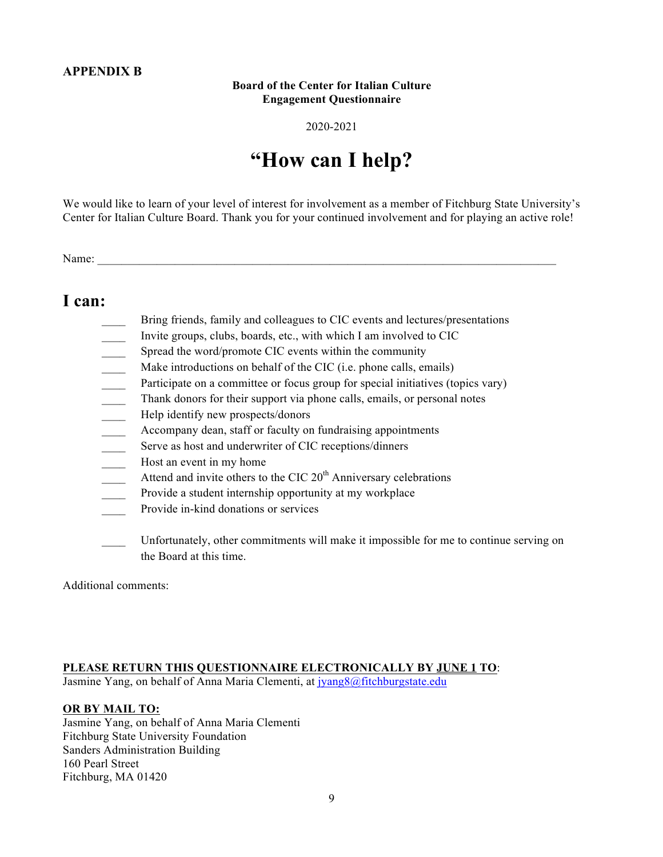## **APPENDIX B**

#### **Board of the Center for Italian Culture Engagement Questionnaire**

#### 2020-2021

# **"How can I help?**

We would like to learn of your level of interest for involvement as a member of Fitchburg State University's Center for Italian Culture Board. Thank you for your continued involvement and for playing an active role!

Name:

# **I can:**

- Bring friends, family and colleagues to CIC events and lectures/presentations
- \_\_\_\_ Invite groups, clubs, boards, etc., with which I am involved to CIC
- Spread the word/promote CIC events within the community
- \_\_\_\_ Make introductions on behalf of the CIC (i.e. phone calls, emails)
- \_\_\_\_ Participate on a committee or focus group for special initiatives (topics vary)
- \_\_\_\_ Thank donors for their support via phone calls, emails, or personal notes
- \_\_\_\_ Help identify new prospects/donors
- \_\_\_\_ Accompany dean, staff or faculty on fundraising appointments
- **EXECUTE:** Serve as host and underwriter of CIC receptions/dinners
- Host an event in my home
- Attend and invite others to the CIC 20<sup>th</sup> Anniversary celebrations
- Provide a student internship opportunity at my workplace
- Provide in-kind donations or services
- \_\_\_\_ Unfortunately, other commitments will make it impossible for me to continue serving on the Board at this time.

Additional comments:

#### **PLEASE RETURN THIS QUESTIONNAIRE ELECTRONICALLY BY JUNE 1 TO**:

Jasmine Yang, on behalf of Anna Maria Clementi, at jyang8@fitchburgstate.edu

#### **OR BY MAIL TO:**

Jasmine Yang, on behalf of Anna Maria Clementi Fitchburg State University Foundation Sanders Administration Building 160 Pearl Street Fitchburg, MA 01420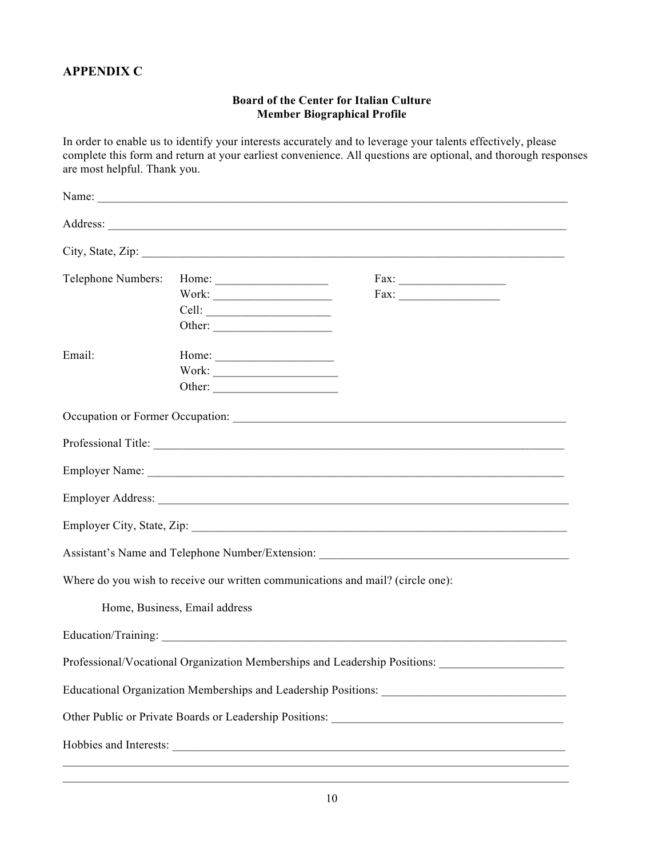# **APPENDIX C**

#### **Board of the Center for Italian Culture Member Biographical Profile**

In order to enable us to identify your interests accurately and to leverage your talents effectively, please complete this form and return at your earliest convenience. All questions are optional, and thorough responses are most helpful. Thank you.

| Telephone Numbers: | Home: $\frac{1}{\sqrt{1-\frac{1}{2}} \cdot \frac{1}{2} \cdot \frac{1}{2} \cdot \frac{1}{2} \cdot \frac{1}{2} \cdot \frac{1}{2} \cdot \frac{1}{2} \cdot \frac{1}{2} \cdot \frac{1}{2} \cdot \frac{1}{2} \cdot \frac{1}{2} \cdot \frac{1}{2} \cdot \frac{1}{2} \cdot \frac{1}{2} \cdot \frac{1}{2} \cdot \frac{1}{2} \cdot \frac{1}{2} \cdot \frac{1}{2} \cdot \frac{1}{2} \cdot \frac{1}{2} \cdot \frac{1}{2} \cdot \frac{1}{2} \cdot \frac{1}{2}$ |                                                                                   |  |
|--------------------|---------------------------------------------------------------------------------------------------------------------------------------------------------------------------------------------------------------------------------------------------------------------------------------------------------------------------------------------------------------------------------------------------------------------------------------------------|-----------------------------------------------------------------------------------|--|
|                    |                                                                                                                                                                                                                                                                                                                                                                                                                                                   | Fax:                                                                              |  |
|                    |                                                                                                                                                                                                                                                                                                                                                                                                                                                   |                                                                                   |  |
|                    | Other:                                                                                                                                                                                                                                                                                                                                                                                                                                            |                                                                                   |  |
| Email:             |                                                                                                                                                                                                                                                                                                                                                                                                                                                   |                                                                                   |  |
|                    |                                                                                                                                                                                                                                                                                                                                                                                                                                                   |                                                                                   |  |
|                    |                                                                                                                                                                                                                                                                                                                                                                                                                                                   |                                                                                   |  |
|                    |                                                                                                                                                                                                                                                                                                                                                                                                                                                   |                                                                                   |  |
|                    |                                                                                                                                                                                                                                                                                                                                                                                                                                                   |                                                                                   |  |
|                    |                                                                                                                                                                                                                                                                                                                                                                                                                                                   |                                                                                   |  |
|                    |                                                                                                                                                                                                                                                                                                                                                                                                                                                   |                                                                                   |  |
|                    |                                                                                                                                                                                                                                                                                                                                                                                                                                                   |                                                                                   |  |
|                    |                                                                                                                                                                                                                                                                                                                                                                                                                                                   | Assistant's Name and Telephone Number/Extension: ________________________________ |  |
|                    |                                                                                                                                                                                                                                                                                                                                                                                                                                                   | Where do you wish to receive our written communications and mail? (circle one):   |  |
|                    | Home, Business, Email address                                                                                                                                                                                                                                                                                                                                                                                                                     |                                                                                   |  |
|                    |                                                                                                                                                                                                                                                                                                                                                                                                                                                   |                                                                                   |  |
|                    |                                                                                                                                                                                                                                                                                                                                                                                                                                                   | Professional/Vocational Organization Memberships and Leadership Positions:        |  |
|                    |                                                                                                                                                                                                                                                                                                                                                                                                                                                   |                                                                                   |  |
|                    |                                                                                                                                                                                                                                                                                                                                                                                                                                                   |                                                                                   |  |
|                    |                                                                                                                                                                                                                                                                                                                                                                                                                                                   |                                                                                   |  |
|                    |                                                                                                                                                                                                                                                                                                                                                                                                                                                   |                                                                                   |  |

 $\mathcal{L}_\text{max}$  and the contribution of the contribution of the contribution of the contribution of the contribution of